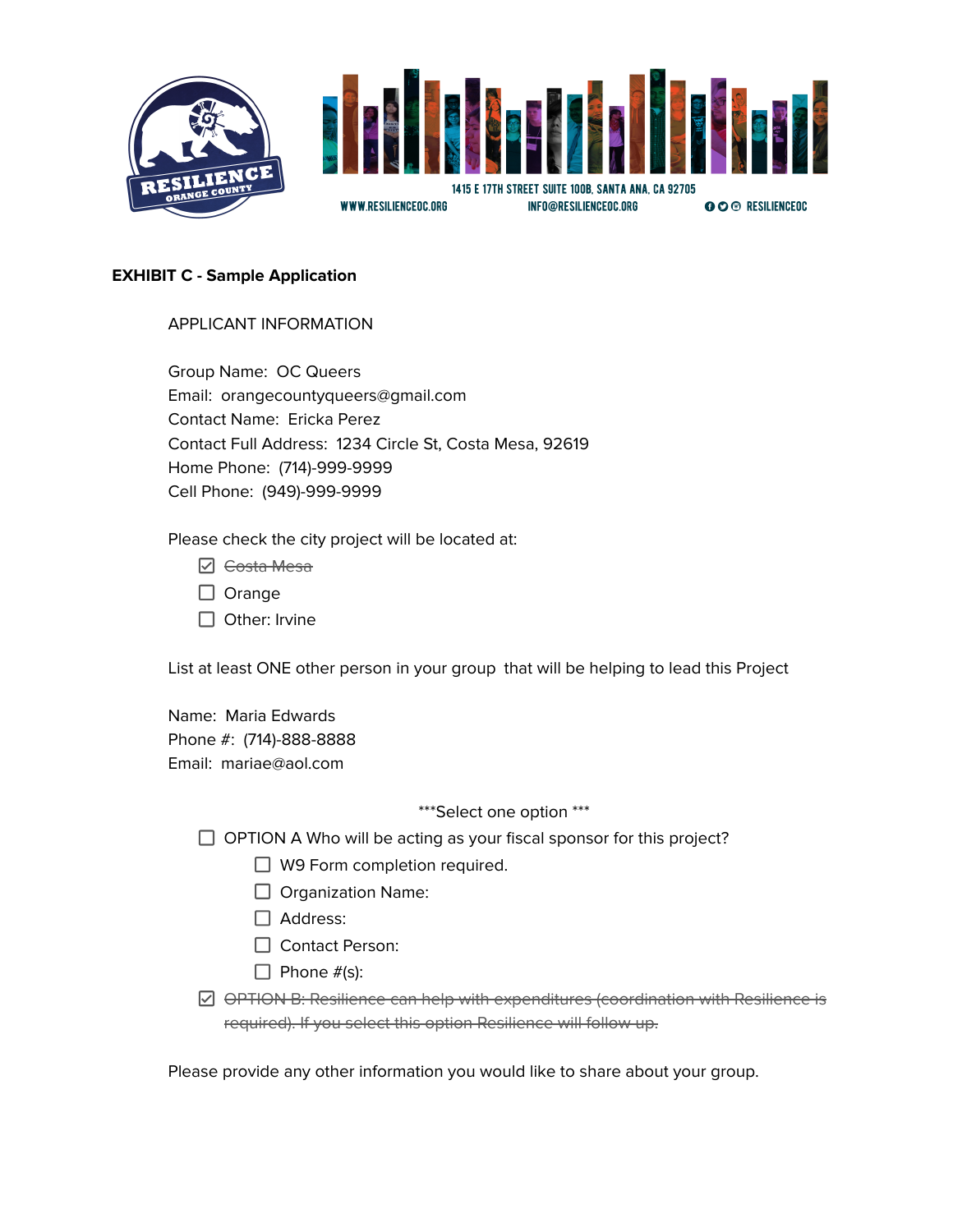

### **EXHIBIT C - Sample Application**

## APPLICANT INFORMATION

Group Name: OC Queers Email: orangecountyqueers@gmail.com Contact Name: Ericka Perez Contact Full Address: 1234 Circle St, Costa Mesa, 92619 Home Phone: (714)-999-9999 Cell Phone: (949)-999-9999

Please check the city project will be located at:

- **☑** <del>Costa Mesa</del>
- $\Box$  Orange
- $\Box$  Other: Irvine

List at least ONE other person in your group that will be helping to lead this Project

Name: Maria Edwards Phone #: (714)-888-8888 Email: mariae@aol.com

#### \*\*\*Select one option \*\*\*

 $\Box$  OPTION A Who will be acting as your fiscal sponsor for this project?

- $\Box$  W9 Form completion required.
- $\Box$  Organization Name:
- □ Address:
- □ Contact Person:
- $\Box$  Phone  $\#$ (s):
- $\boxdot$  OPTION B: Resilience can help with expenditures (coordination with Resilience is required). If you select this option Resilience will follow up.

Please provide any other information you would like to share about your group.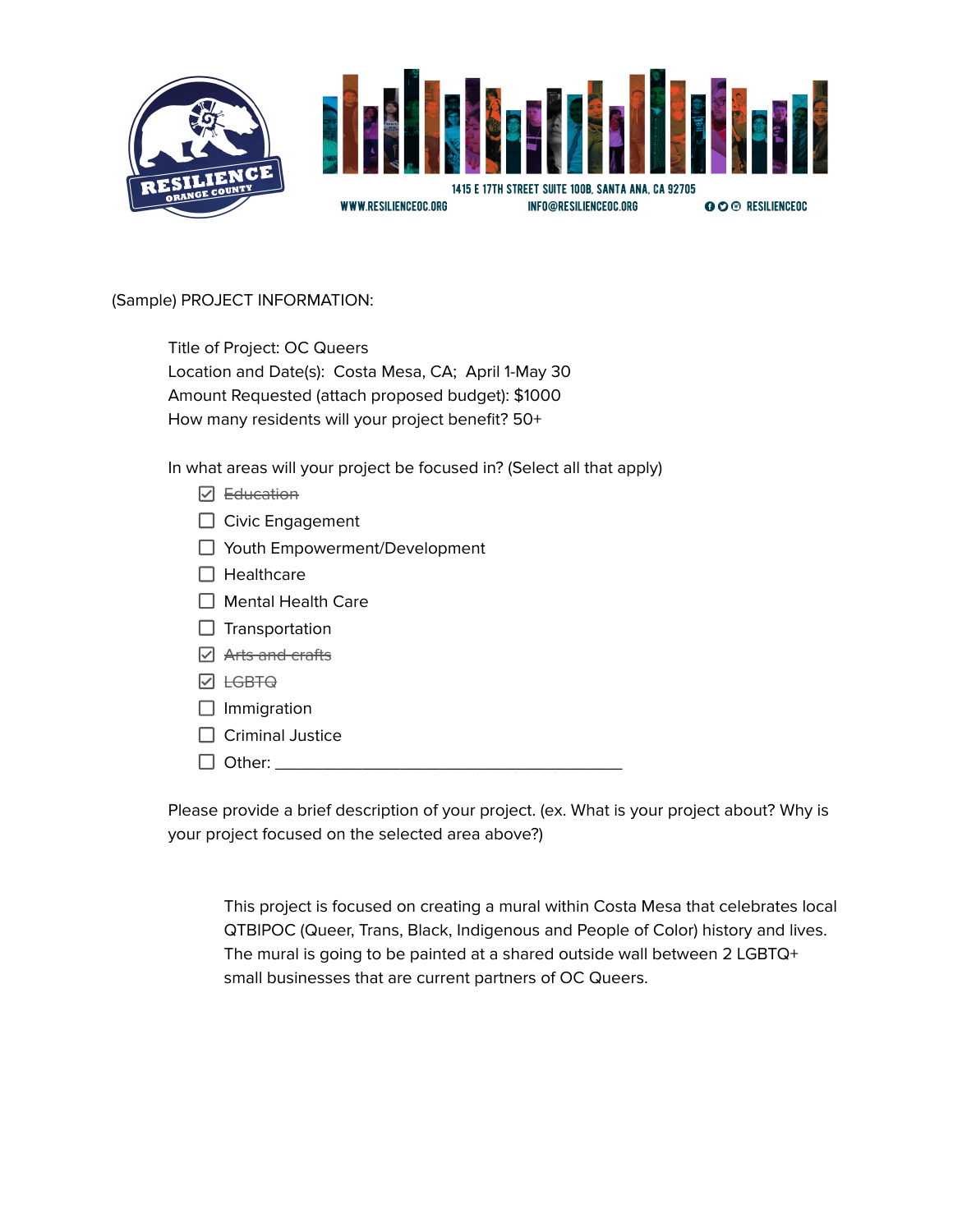

(Sample) PROJECT INFORMATION:

| Title of Project: OC Queers                          |
|------------------------------------------------------|
| Location and Date(s): Costa Mesa, CA; April 1-May 30 |
| Amount Requested (attach proposed budget): \$1000    |
| How many residents will your project benefit? 50+    |

In what areas will your project be focused in? (Select all that apply)

- $\n  $\Box$ \n *Education*$
- Civic Engagement
- □ Youth Empowerment/Development
- $\Box$  Healthcare
- $\Box$  Mental Health Care
- $\Box$  Transportation
- **⊘** Arts and crafts
- **Ø** <del>LGBTQ</del>
- $\Box$  Immigration
- $\Box$  Criminal Justice
- $\Box$  Other:

Please provide a brief description of your project. (ex. What is your project about? Why is your project focused on the selected area above?)

This project is focused on creating a mural within Costa Mesa that celebrates local QTBIPOC (Queer, Trans, Black, Indigenous and People of Color) history and lives. The mural is going to be painted at a shared outside wall between 2 LGBTQ+ small businesses that are current partners of OC Queers.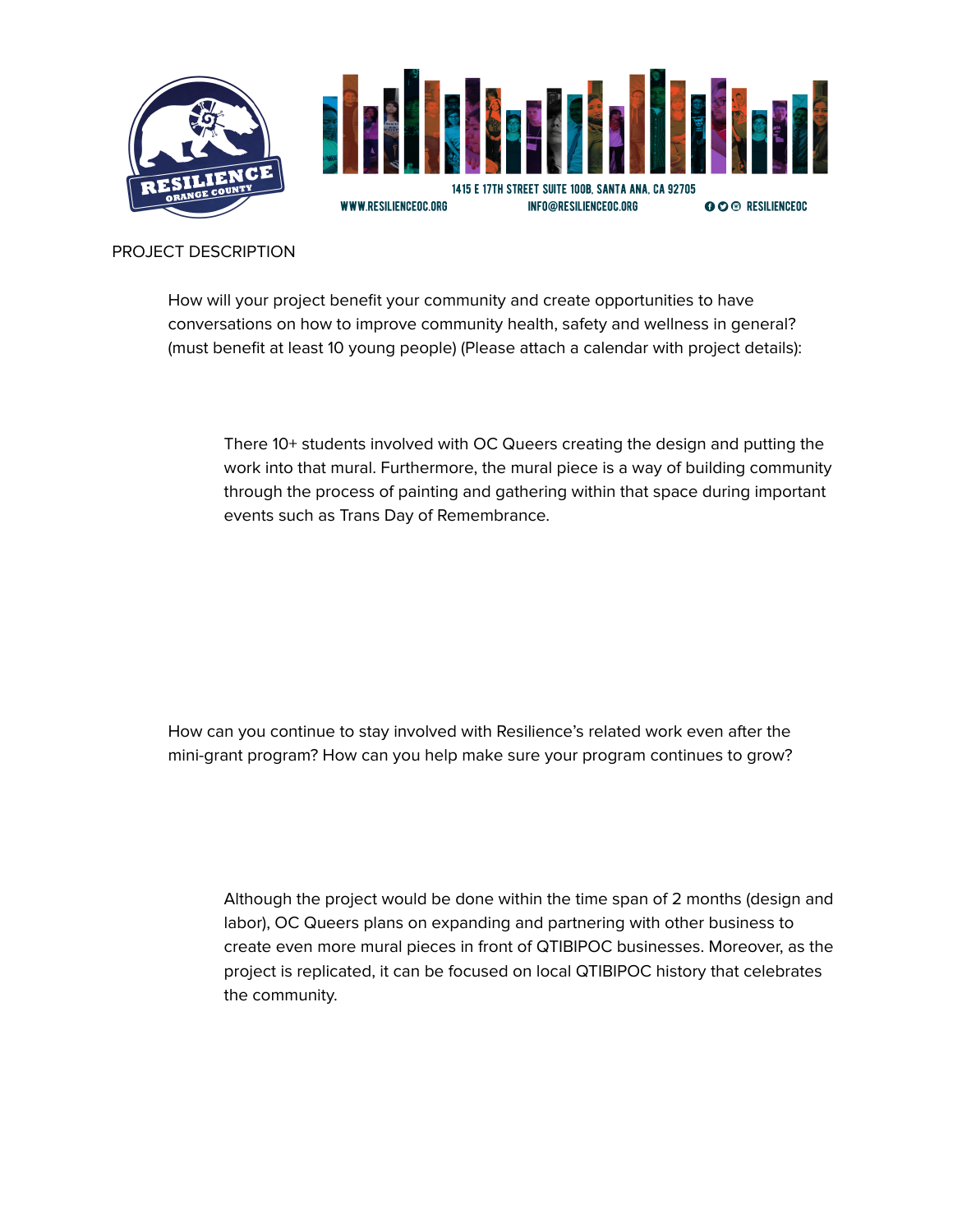

### PROJECT DESCRIPTION

How will your project benefit your community and create opportunities to have conversations on how to improve community health, safety and wellness in general? (must benefit at least 10 young people) (Please attach a calendar with project details):

There 10+ students involved with OC Queers creating the design and putting the work into that mural. Furthermore, the mural piece is a way of building community through the process of painting and gathering within that space during important events such as Trans Day of Remembrance.

How can you continue to stay involved with Resilience's related work even after the mini-grant program? How can you help make sure your program continues to grow?

Although the project would be done within the time span of 2 months (design and labor), OC Queers plans on expanding and partnering with other business to create even more mural pieces in front of QTIBIPOC businesses. Moreover, as the project is replicated, it can be focused on local QTIBIPOC history that celebrates the community.